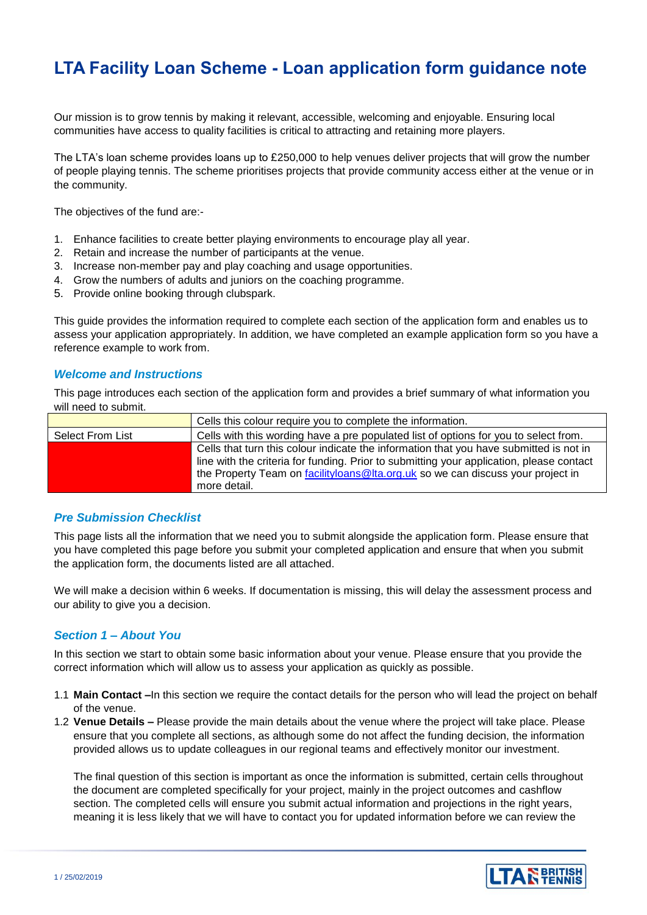# **LTA Facility Loan Scheme - Loan application form guidance note**

Our mission is to grow tennis by making it relevant, accessible, welcoming and enjoyable. Ensuring local communities have access to quality facilities is critical to attracting and retaining more players.

The LTA's loan scheme provides loans up to £250,000 to help venues deliver projects that will grow the number of people playing tennis. The scheme prioritises projects that provide community access either at the venue or in the community.

The objectives of the fund are:-

- 1. Enhance facilities to create better playing environments to encourage play all year.
- 2. Retain and increase the number of participants at the venue.
- 3. Increase non-member pay and play coaching and usage opportunities.
- 4. Grow the numbers of adults and juniors on the coaching programme.
- 5. Provide online booking through clubspark.

This guide provides the information required to complete each section of the application form and enables us to assess your application appropriately. In addition, we have completed an example application form so you have a reference example to work from.

### *Welcome and Instructions*

This page introduces each section of the application form and provides a brief summary of what information you will need to submit.

|                  | Cells this colour require you to complete the information.                                                                                                                                                                                                                             |
|------------------|----------------------------------------------------------------------------------------------------------------------------------------------------------------------------------------------------------------------------------------------------------------------------------------|
| Select From List | Cells with this wording have a pre populated list of options for you to select from.                                                                                                                                                                                                   |
|                  | Cells that turn this colour indicate the information that you have submitted is not in<br>line with the criteria for funding. Prior to submitting your application, please contact<br>the Property Team on facilityloans @Ita.org.uk so we can discuss your project in<br>more detail. |

### *Pre Submission Checklist*

This page lists all the information that we need you to submit alongside the application form. Please ensure that you have completed this page before you submit your completed application and ensure that when you submit the application form, the documents listed are all attached.

We will make a decision within 6 weeks. If documentation is missing, this will delay the assessment process and our ability to give you a decision.

# *Section 1 – About You*

In this section we start to obtain some basic information about your venue. Please ensure that you provide the correct information which will allow us to assess your application as quickly as possible.

- 1.1 **Main Contact –**In this section we require the contact details for the person who will lead the project on behalf of the venue.
- 1.2 **Venue Details –** Please provide the main details about the venue where the project will take place. Please ensure that you complete all sections, as although some do not affect the funding decision, the information provided allows us to update colleagues in our regional teams and effectively monitor our investment.

The final question of this section is important as once the information is submitted, certain cells throughout the document are completed specifically for your project, mainly in the project outcomes and cashflow section. The completed cells will ensure you submit actual information and projections in the right years, meaning it is less likely that we will have to contact you for updated information before we can review the

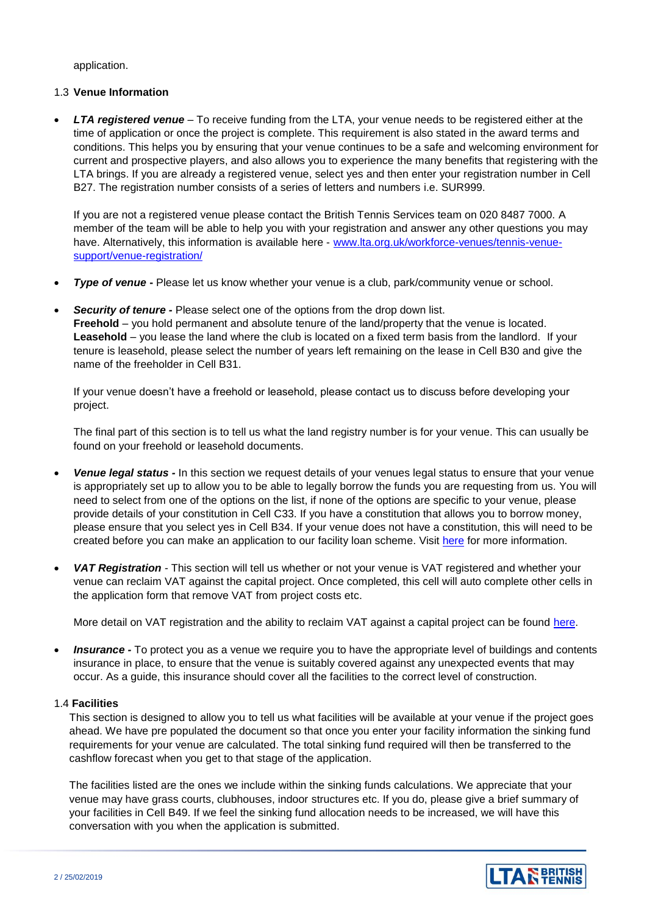application.

### 1.3 **Venue Information**

 *LTA registered venue* – To receive funding from the LTA, your venue needs to be registered either at the time of application or once the project is complete. This requirement is also stated in the award terms and conditions. This helps you by ensuring that your venue continues to be a safe and welcoming environment for current and prospective players, and also allows you to experience the many benefits that registering with the LTA brings. If you are already a registered venue, select yes and then enter your registration number in Cell B27. The registration number consists of a series of letters and numbers i.e. SUR999.

If you are not a registered venue please contact the British Tennis Services team on 020 8487 7000. A member of the team will be able to help you with your registration and answer any other questions you may have. Alternatively, this information is available here - [www.lta.org.uk/workforce-venues/tennis-venue](http://www.lta.org.uk/workforce-venues/tennis-venue-support/venue-registration/)[support/venue-registration/](http://www.lta.org.uk/workforce-venues/tennis-venue-support/venue-registration/)

- **Type of venue -** Please let us know whether your venue is a club, park/community venue or school.
- *Security of tenure -* Please select one of the options from the drop down list. **Freehold** – you hold permanent and absolute tenure of the land/property that the venue is located. **Leasehold** – you lease the land where the club is located on a fixed term basis from the landlord. If your tenure is leasehold, please select the number of years left remaining on the lease in Cell B30 and give the name of the freeholder in Cell B31.

If your venue doesn't have a freehold or leasehold, please contact us to discuss before developing your project.

The final part of this section is to tell us what the land registry number is for your venue. This can usually be found on your freehold or leasehold documents.

- *Venue legal status -* In this section we request details of your venues legal status to ensure that your venue is appropriately set up to allow you to be able to legally borrow the funds you are requesting from us. You will need to select from one of the options on the list, if none of the options are specific to your venue, please provide details of your constitution in Cell C33. If you have a constitution that allows you to borrow money, please ensure that you select yes in Cell B34. If your venue does not have a constitution, this will need to be created before you can make an application to our facility loan scheme. Visit [here](https://www.lta.org.uk/globalassets/venue/resources/management/tennis-club-constitution-guide.pdf?_t_id=1B2M2Y8AsgTpgAmY7PhCfg%3d%3d&_t_q=constitution+&_t_tags=language%3aen%2csiteid%3af3862a05-6b76-4b3c-9179-c99ae142b858&_t_ip=31.221.112.46%3a51553&_t_hit.id=Lta_Models_Media_Pdf/_c9fdcc86-365b-4e53-826f-b664bb566801&_t_hit.pos=1) for more information.
- *VAT Registration -* This section will tell us whether or not your venue is VAT registered and whether your venue can reclaim VAT against the capital project. Once completed, this cell will auto complete other cells in the application form that remove VAT from project costs etc.

More detail on VAT registration and the ability to reclaim VAT against a capital project can be found [here.](https://www.lta.org.uk/globalassets/venue/support-your-venue/documents/lta-taxation-guide.pdf?_t_id=1B2M2Y8AsgTpgAmY7PhCfg%3d%3d&_t_q=VAT&_t_tags=language%3aen%2csiteid%3af3862a05-6b76-4b3c-9179-c99ae142b858&_t_ip=31.221.112.46%3a51611&_t_hit.id=Lta_Models_Media_Pdf/_c2273305-f07a-4271-9adf-d3ec49ab6a6d&_t_hit.pos=1)

 *Insurance -* To protect you as a venue we require you to have the appropriate level of buildings and contents insurance in place, to ensure that the venue is suitably covered against any unexpected events that may occur. As a guide, this insurance should cover all the facilities to the correct level of construction.

#### 1.4 **Facilities**

This section is designed to allow you to tell us what facilities will be available at your venue if the project goes ahead. We have pre populated the document so that once you enter your facility information the sinking fund requirements for your venue are calculated. The total sinking fund required will then be transferred to the cashflow forecast when you get to that stage of the application.

The facilities listed are the ones we include within the sinking funds calculations. We appreciate that your venue may have grass courts, clubhouses, indoor structures etc. If you do, please give a brief summary of your facilities in Cell B49. If we feel the sinking fund allocation needs to be increased, we will have this conversation with you when the application is submitted.

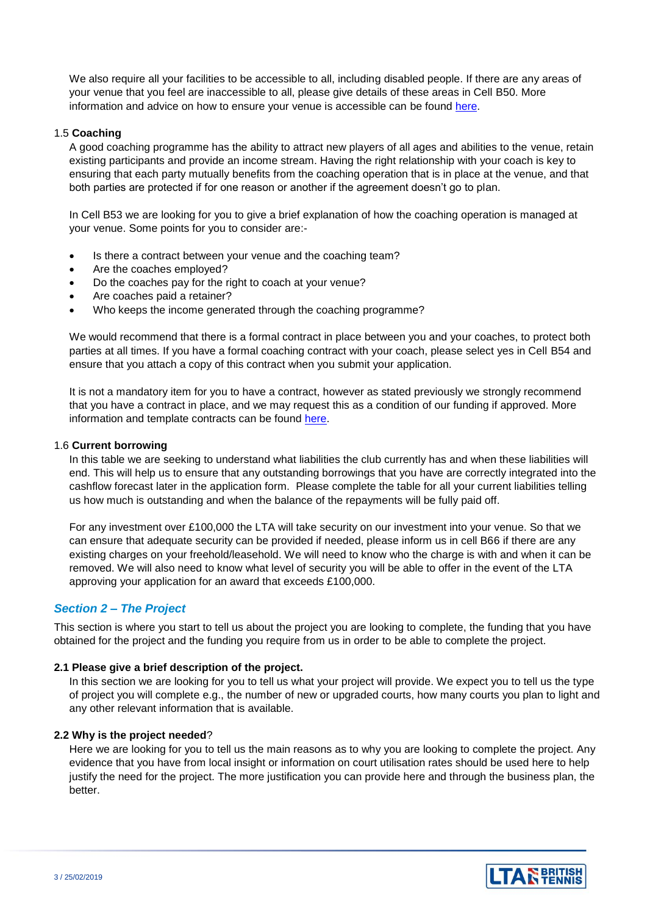We also require all your facilities to be accessible to all, including disabled people. If there are any areas of your venue that you feel are inaccessible to all, please give details of these areas in Cell B50. More information and advice on how to ensure your venue is accessible can be found [here.](https://www.lta.org.uk/globalassets/venue/disabled-access-guidelines-2017.pdf?_t_id=1B2M2Y8AsgTpgAmY7PhCfg%3d%3d&_t_q=accessibility&_t_tags=language%3aen%2csiteid%3af3862a05-6b76-4b3c-9179-c99ae142b858&_t_ip=31.221.112.46%3a51688&_t_hit.id=Lta_Models_Media_Pdf/_4b477cdf-d4b7-40ee-a2df-b425633d4eea&_t_hit.pos=2)

#### 1.5 **Coaching**

A good coaching programme has the ability to attract new players of all ages and abilities to the venue, retain existing participants and provide an income stream. Having the right relationship with your coach is key to ensuring that each party mutually benefits from the coaching operation that is in place at the venue, and that both parties are protected if for one reason or another if the agreement doesn't go to plan.

In Cell B53 we are looking for you to give a brief explanation of how the coaching operation is managed at your venue. Some points for you to consider are:-

- Is there a contract between your venue and the coaching team?
- Are the coaches employed?
- Do the coaches pay for the right to coach at your venue?
- Are coaches paid a retainer?
- Who keeps the income generated through the coaching programme?

We would recommend that there is a formal contract in place between you and your coaches, to protect both parties at all times. If you have a formal coaching contract with your coach, please select yes in Cell B54 and ensure that you attach a copy of this contract when you submit your application.

It is not a mandatory item for you to have a contract, however as stated previously we strongly recommend that you have a contract in place, and we may request this as a condition of our funding if approved. More information and template contracts can be found [here.](https://www.lta.org.uk/workforce-venues/tennis-venue-support/develop-your-tennis-venue/resources/)

#### 1.6 **Current borrowing**

In this table we are seeking to understand what liabilities the club currently has and when these liabilities will end. This will help us to ensure that any outstanding borrowings that you have are correctly integrated into the cashflow forecast later in the application form. Please complete the table for all your current liabilities telling us how much is outstanding and when the balance of the repayments will be fully paid off.

For any investment over £100,000 the LTA will take security on our investment into your venue. So that we can ensure that adequate security can be provided if needed, please inform us in cell B66 if there are any existing charges on your freehold/leasehold. We will need to know who the charge is with and when it can be removed. We will also need to know what level of security you will be able to offer in the event of the LTA approving your application for an award that exceeds £100,000.

# *Section 2 – The Project*

This section is where you start to tell us about the project you are looking to complete, the funding that you have obtained for the project and the funding you require from us in order to be able to complete the project.

#### **2.1 Please give a brief description of the project.**

In this section we are looking for you to tell us what your project will provide. We expect you to tell us the type of project you will complete e.g., the number of new or upgraded courts, how many courts you plan to light and any other relevant information that is available.

#### **2.2 Why is the project needed**?

Here we are looking for you to tell us the main reasons as to why you are looking to complete the project. Any evidence that you have from local insight or information on court utilisation rates should be used here to help justify the need for the project. The more justification you can provide here and through the business plan, the better.

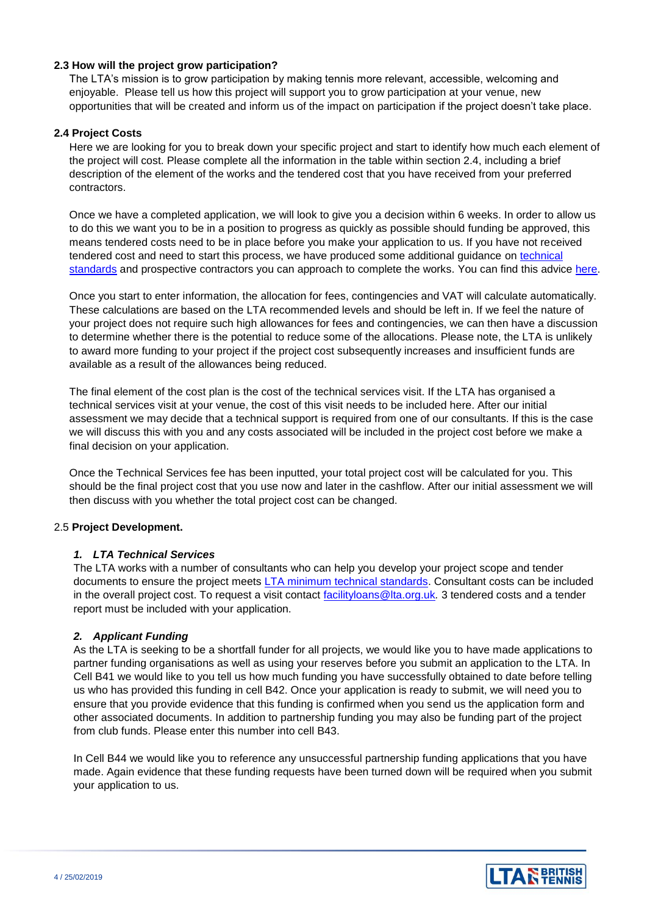### **2.3 How will the project grow participation?**

The LTA's mission is to grow participation by making tennis more relevant, accessible, welcoming and enjoyable. Please tell us how this project will support you to grow participation at your venue, new opportunities that will be created and inform us of the impact on participation if the project doesn't take place.

### **2.4 Project Costs**

Here we are looking for you to break down your specific project and start to identify how much each element of the project will cost. Please complete all the information in the table within section 2.4, including a brief description of the element of the works and the tendered cost that you have received from your preferred contractors.

Once we have a completed application, we will look to give you a decision within 6 weeks. In order to allow us to do this we want you to be in a position to progress as quickly as possible should funding be approved, this means tendered costs need to be in place before you make your application to us. If you have not received tendered cost and need to start this process, we have produced some additional guidance on [technical](https://www.lta.org.uk/workforce-venues/tennis-venue-support/tennis-facility-funding-and-advice/club-sinking-fund-calculator/)  [standards](https://www.lta.org.uk/workforce-venues/tennis-venue-support/tennis-facility-funding-and-advice/club-sinking-fund-calculator/) and prospective contractors you can approach to complete the works. You can find this advice [here.](https://sapca.org.uk/)

Once you start to enter information, the allocation for fees, contingencies and VAT will calculate automatically. These calculations are based on the LTA recommended levels and should be left in. If we feel the nature of your project does not require such high allowances for fees and contingencies, we can then have a discussion to determine whether there is the potential to reduce some of the allocations. Please note, the LTA is unlikely to award more funding to your project if the project cost subsequently increases and insufficient funds are available as a result of the allowances being reduced.

The final element of the cost plan is the cost of the technical services visit. If the LTA has organised a technical services visit at your venue, the cost of this visit needs to be included here. After our initial assessment we may decide that a technical support is required from one of our consultants. If this is the case we will discuss this with you and any costs associated will be included in the project cost before we make a final decision on your application.

Once the Technical Services fee has been inputted, your total project cost will be calculated for you. This should be the final project cost that you use now and later in the cashflow. After our initial assessment we will then discuss with you whether the total project cost can be changed.

### 2.5 **Project Development.**

### *1. LTA Technical Services*

The LTA works with a number of consultants who can help you develop your project scope and tender documents to ensure the project meets [LTA minimum technical standards.](https://www.lta.org.uk/workforce-venues/tennis-venue-support/tennis-facility-funding-and-advice/club-sinking-fund-calculator/) Consultant costs can be included in the overall project cost. To request a visit contact [facilityloans@lta.org.uk](mailto:facilityloans@lta.org.uk)*.* 3 tendered costs and a tender report must be included with your application.

# *2. Applicant Funding*

As the LTA is seeking to be a shortfall funder for all projects, we would like you to have made applications to partner funding organisations as well as using your reserves before you submit an application to the LTA. In Cell B41 we would like to you tell us how much funding you have successfully obtained to date before telling us who has provided this funding in cell B42. Once your application is ready to submit, we will need you to ensure that you provide evidence that this funding is confirmed when you send us the application form and other associated documents. In addition to partnership funding you may also be funding part of the project from club funds. Please enter this number into cell B43.

In Cell B44 we would like you to reference any unsuccessful partnership funding applications that you have made. Again evidence that these funding requests have been turned down will be required when you submit your application to us.

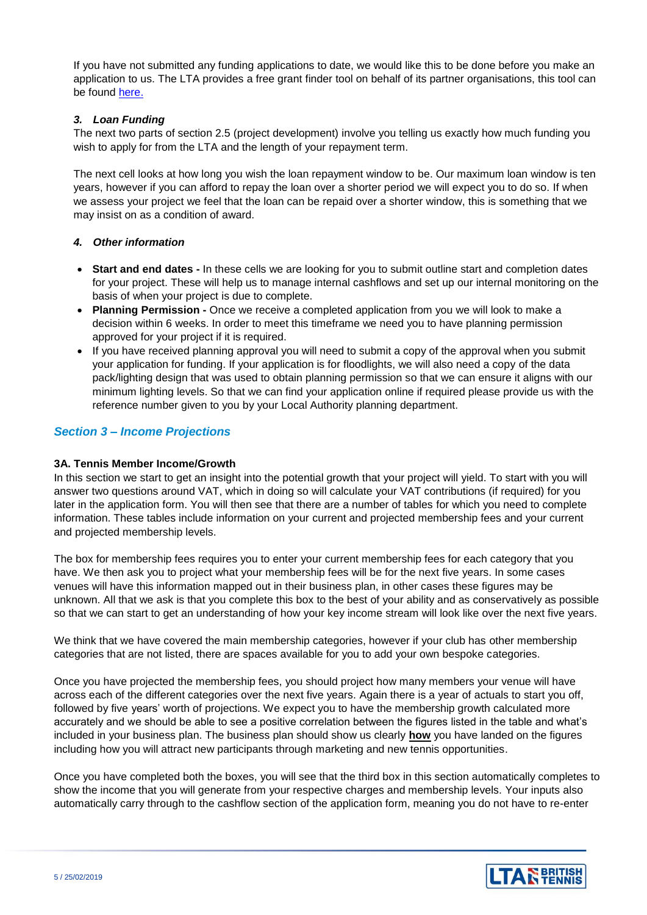If you have not submitted any funding applications to date, we would like this to be done before you make an application to us. The LTA provides a free grant finder tool on behalf of its partner organisations, this tool can be found [here.](https://www.idoxopen4community.co.uk/lta/) 

### *3. Loan Funding*

The next two parts of section 2.5 (project development) involve you telling us exactly how much funding you wish to apply for from the LTA and the length of your repayment term.

The next cell looks at how long you wish the loan repayment window to be. Our maximum loan window is ten years, however if you can afford to repay the loan over a shorter period we will expect you to do so. If when we assess your project we feel that the loan can be repaid over a shorter window, this is something that we may insist on as a condition of award.

### *4. Other information*

- **Start and end dates -** In these cells we are looking for you to submit outline start and completion dates for your project. These will help us to manage internal cashflows and set up our internal monitoring on the basis of when your project is due to complete.
- **Planning Permission -** Once we receive a completed application from you we will look to make a decision within 6 weeks. In order to meet this timeframe we need you to have planning permission approved for your project if it is required.
- If you have received planning approval you will need to submit a copy of the approval when you submit your application for funding. If your application is for floodlights, we will also need a copy of the data pack/lighting design that was used to obtain planning permission so that we can ensure it aligns with our minimum lighting levels. So that we can find your application online if required please provide us with the reference number given to you by your Local Authority planning department.

# *Section 3 – Income Projections*

### **3A. Tennis Member Income/Growth**

In this section we start to get an insight into the potential growth that your project will yield. To start with you will answer two questions around VAT, which in doing so will calculate your VAT contributions (if required) for you later in the application form. You will then see that there are a number of tables for which you need to complete information. These tables include information on your current and projected membership fees and your current and projected membership levels.

The box for membership fees requires you to enter your current membership fees for each category that you have. We then ask you to project what your membership fees will be for the next five years. In some cases venues will have this information mapped out in their business plan, in other cases these figures may be unknown. All that we ask is that you complete this box to the best of your ability and as conservatively as possible so that we can start to get an understanding of how your key income stream will look like over the next five years.

We think that we have covered the main membership categories, however if your club has other membership categories that are not listed, there are spaces available for you to add your own bespoke categories.

Once you have projected the membership fees, you should project how many members your venue will have across each of the different categories over the next five years. Again there is a year of actuals to start you off, followed by five years' worth of projections. We expect you to have the membership growth calculated more accurately and we should be able to see a positive correlation between the figures listed in the table and what's included in your business plan. The business plan should show us clearly **how** you have landed on the figures including how you will attract new participants through marketing and new tennis opportunities.

Once you have completed both the boxes, you will see that the third box in this section automatically completes to show the income that you will generate from your respective charges and membership levels. Your inputs also automatically carry through to the cashflow section of the application form, meaning you do not have to re-enter

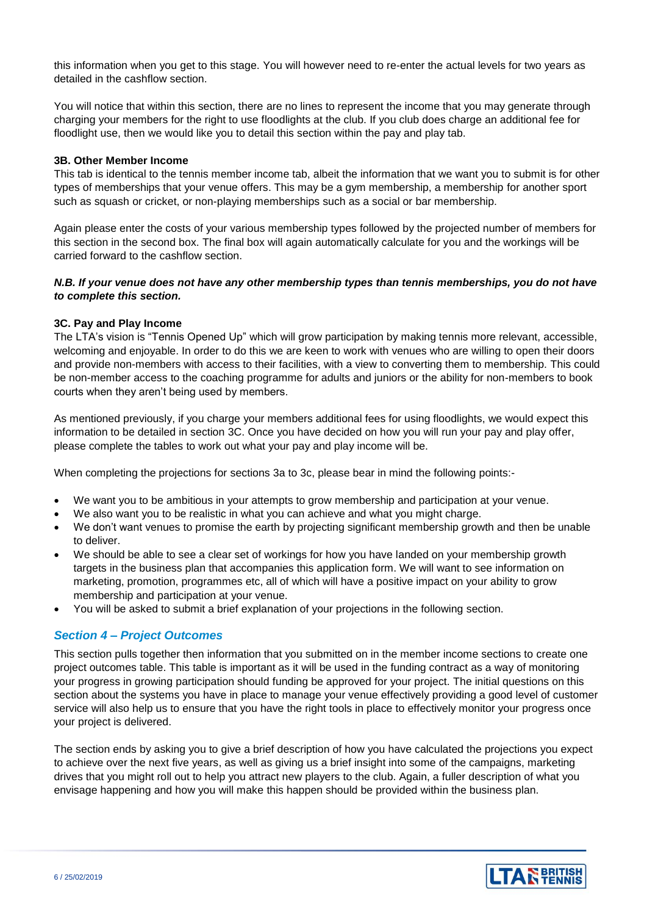this information when you get to this stage. You will however need to re-enter the actual levels for two years as detailed in the cashflow section.

You will notice that within this section, there are no lines to represent the income that you may generate through charging your members for the right to use floodlights at the club. If you club does charge an additional fee for floodlight use, then we would like you to detail this section within the pay and play tab.

#### **3B. Other Member Income**

This tab is identical to the tennis member income tab, albeit the information that we want you to submit is for other types of memberships that your venue offers. This may be a gym membership, a membership for another sport such as squash or cricket, or non-playing memberships such as a social or bar membership.

Again please enter the costs of your various membership types followed by the projected number of members for this section in the second box. The final box will again automatically calculate for you and the workings will be carried forward to the cashflow section.

### *N.B. If your venue does not have any other membership types than tennis memberships, you do not have to complete this section.*

### **3C. Pay and Play Income**

The LTA's vision is "Tennis Opened Up" which will grow participation by making tennis more relevant, accessible, welcoming and enjoyable. In order to do this we are keen to work with venues who are willing to open their doors and provide non-members with access to their facilities, with a view to converting them to membership. This could be non-member access to the coaching programme for adults and juniors or the ability for non-members to book courts when they aren't being used by members.

As mentioned previously, if you charge your members additional fees for using floodlights, we would expect this information to be detailed in section 3C. Once you have decided on how you will run your pay and play offer, please complete the tables to work out what your pay and play income will be.

When completing the projections for sections 3a to 3c, please bear in mind the following points:-

- We want you to be ambitious in your attempts to grow membership and participation at your venue.
- We also want you to be realistic in what you can achieve and what you might charge.
- We don't want venues to promise the earth by projecting significant membership growth and then be unable to deliver.
- We should be able to see a clear set of workings for how you have landed on your membership growth targets in the business plan that accompanies this application form. We will want to see information on marketing, promotion, programmes etc, all of which will have a positive impact on your ability to grow membership and participation at your venue.
- You will be asked to submit a brief explanation of your projections in the following section.

# *Section 4 – Project Outcomes*

This section pulls together then information that you submitted on in the member income sections to create one project outcomes table. This table is important as it will be used in the funding contract as a way of monitoring your progress in growing participation should funding be approved for your project. The initial questions on this section about the systems you have in place to manage your venue effectively providing a good level of customer service will also help us to ensure that you have the right tools in place to effectively monitor your progress once your project is delivered.

The section ends by asking you to give a brief description of how you have calculated the projections you expect to achieve over the next five years, as well as giving us a brief insight into some of the campaigns, marketing drives that you might roll out to help you attract new players to the club. Again, a fuller description of what you envisage happening and how you will make this happen should be provided within the business plan.

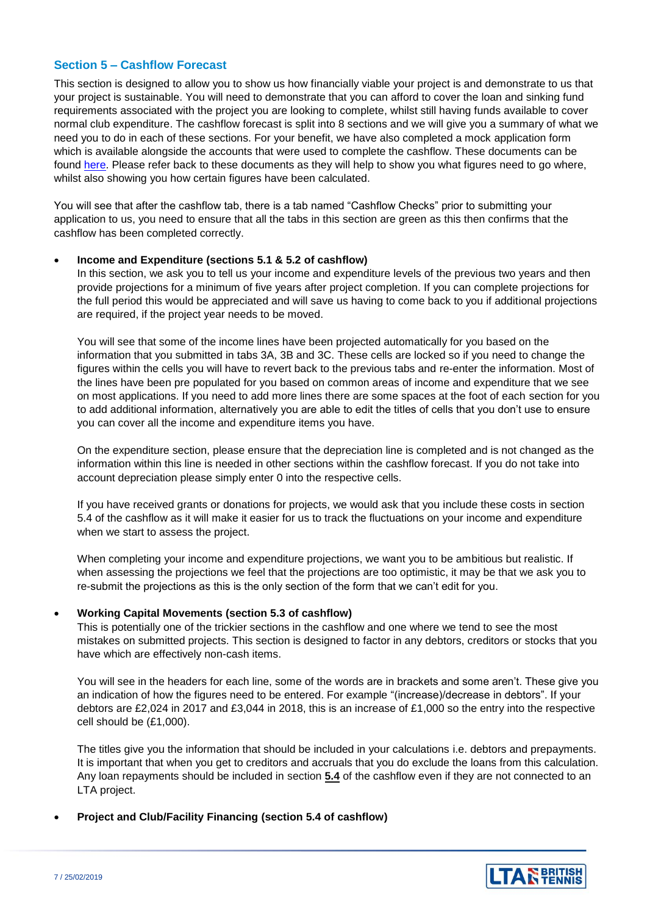### **Section 5 – Cashflow Forecast**

This section is designed to allow you to show us how financially viable your project is and demonstrate to us that your project is sustainable. You will need to demonstrate that you can afford to cover the loan and sinking fund requirements associated with the project you are looking to complete, whilst still having funds available to cover normal club expenditure. The cashflow forecast is split into 8 sections and we will give you a summary of what we need you to do in each of these sections. For your benefit, we have also completed a mock application form which is available alongside the accounts that were used to complete the cashflow. These documents can be found [here.](https://www.lta.org.uk/workforce-venues/tennis-venue-support/tennis-facility-funding-and-advice/club-sinking-fund-calculator/) Please refer back to these documents as they will help to show you what figures need to go where, whilst also showing you how certain figures have been calculated.

You will see that after the cashflow tab, there is a tab named "Cashflow Checks" prior to submitting your application to us, you need to ensure that all the tabs in this section are green as this then confirms that the cashflow has been completed correctly.

#### **Income and Expenditure (sections 5.1 & 5.2 of cashflow)**

In this section, we ask you to tell us your income and expenditure levels of the previous two years and then provide projections for a minimum of five years after project completion. If you can complete projections for the full period this would be appreciated and will save us having to come back to you if additional projections are required, if the project year needs to be moved.

You will see that some of the income lines have been projected automatically for you based on the information that you submitted in tabs 3A, 3B and 3C. These cells are locked so if you need to change the figures within the cells you will have to revert back to the previous tabs and re-enter the information. Most of the lines have been pre populated for you based on common areas of income and expenditure that we see on most applications. If you need to add more lines there are some spaces at the foot of each section for you to add additional information, alternatively you are able to edit the titles of cells that you don't use to ensure you can cover all the income and expenditure items you have.

On the expenditure section, please ensure that the depreciation line is completed and is not changed as the information within this line is needed in other sections within the cashflow forecast. If you do not take into account depreciation please simply enter 0 into the respective cells.

If you have received grants or donations for projects, we would ask that you include these costs in section 5.4 of the cashflow as it will make it easier for us to track the fluctuations on your income and expenditure when we start to assess the project.

When completing your income and expenditure projections, we want you to be ambitious but realistic. If when assessing the projections we feel that the projections are too optimistic, it may be that we ask you to re-submit the projections as this is the only section of the form that we can't edit for you.

### **Working Capital Movements (section 5.3 of cashflow)**

This is potentially one of the trickier sections in the cashflow and one where we tend to see the most mistakes on submitted projects. This section is designed to factor in any debtors, creditors or stocks that you have which are effectively non-cash items.

You will see in the headers for each line, some of the words are in brackets and some aren't. These give you an indication of how the figures need to be entered. For example "(increase)/decrease in debtors". If your debtors are £2,024 in 2017 and £3,044 in 2018, this is an increase of £1,000 so the entry into the respective cell should be (£1,000).

The titles give you the information that should be included in your calculations i.e. debtors and prepayments. It is important that when you get to creditors and accruals that you do exclude the loans from this calculation. Any loan repayments should be included in section **5.4** of the cashflow even if they are not connected to an LTA project.

### **Project and Club/Facility Financing (section 5.4 of cashflow)**

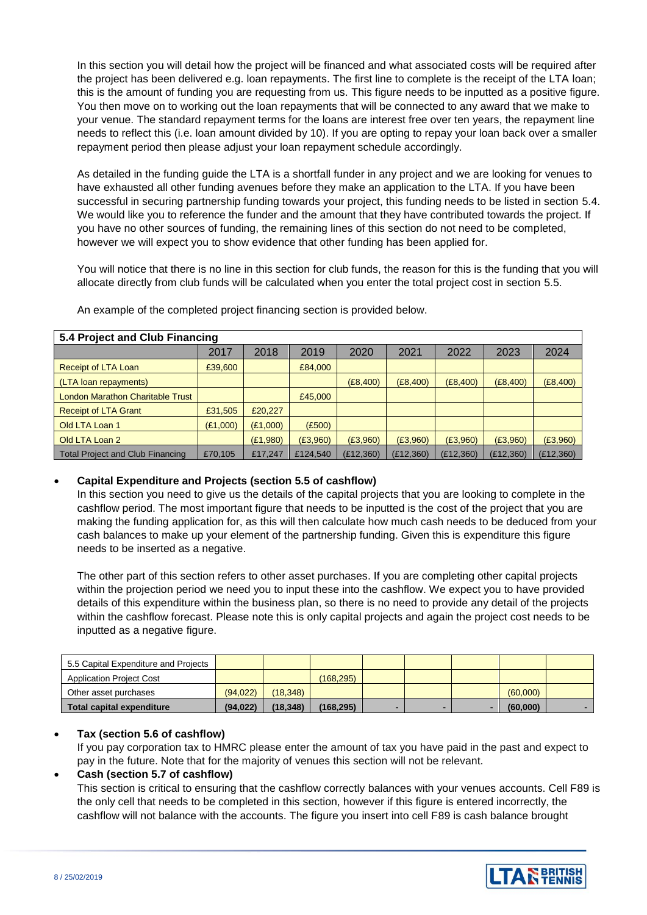In this section you will detail how the project will be financed and what associated costs will be required after the project has been delivered e.g. loan repayments. The first line to complete is the receipt of the LTA loan; this is the amount of funding you are requesting from us. This figure needs to be inputted as a positive figure. You then move on to working out the loan repayments that will be connected to any award that we make to your venue. The standard repayment terms for the loans are interest free over ten years, the repayment line needs to reflect this (i.e. loan amount divided by 10). If you are opting to repay your loan back over a smaller repayment period then please adjust your loan repayment schedule accordingly.

As detailed in the funding guide the LTA is a shortfall funder in any project and we are looking for venues to have exhausted all other funding avenues before they make an application to the LTA. If you have been successful in securing partnership funding towards your project, this funding needs to be listed in section 5.4. We would like you to reference the funder and the amount that they have contributed towards the project. If you have no other sources of funding, the remaining lines of this section do not need to be completed, however we will expect you to show evidence that other funding has been applied for.

You will notice that there is no line in this section for club funds, the reason for this is the funding that you will allocate directly from club funds will be calculated when you enter the total project cost in section 5.5.

| 5.4 Project and Club Financing          |          |          |          |            |           |            |            |           |
|-----------------------------------------|----------|----------|----------|------------|-----------|------------|------------|-----------|
|                                         | 2017     | 2018     | 2019     | 2020       | 2021      | 2022       | 2023       | 2024      |
| Receipt of LTA Loan                     | £39,600  |          | £84,000  |            |           |            |            |           |
| (LTA loan repayments)                   |          |          |          | (E8,400)   | (E8,400)  | (E8,400)   | (E8,400)   | (E8,400)  |
| <b>London Marathon Charitable Trust</b> |          |          | £45,000  |            |           |            |            |           |
| <b>Receipt of LTA Grant</b>             | £31,505  | £20,227  |          |            |           |            |            |           |
| Old LTA Loan 1                          | (E1,000) | (E1,000) | (E500)   |            |           |            |            |           |
| Old LTA Loan 2                          |          | (E1,980) | (E3,960) | (E3,960)   | (E3,960)  | (E3,960)   | (E3,960)   | (E3,960)  |
| Total Project and Club Financing        | £70.105  | £17,247  | £124.540 | (E12, 360) | (£12,360) | (E12, 360) | (E12, 360) | (E12,360) |

An example of the completed project financing section is provided below.

# **Capital Expenditure and Projects (section 5.5 of cashflow)**

In this section you need to give us the details of the capital projects that you are looking to complete in the cashflow period. The most important figure that needs to be inputted is the cost of the project that you are making the funding application for, as this will then calculate how much cash needs to be deduced from your cash balances to make up your element of the partnership funding. Given this is expenditure this figure needs to be inserted as a negative.

The other part of this section refers to other asset purchases. If you are completing other capital projects within the projection period we need you to input these into the cashflow. We expect you to have provided details of this expenditure within the business plan, so there is no need to provide any detail of the projects within the cashflow forecast. Please note this is only capital projects and again the project cost needs to be inputted as a negative figure.

| 5.5 Capital Expenditure and Projects |           |          |           |   |  |          |  |
|--------------------------------------|-----------|----------|-----------|---|--|----------|--|
| <b>Application Project Cost</b>      |           |          | (168.295) |   |  |          |  |
| Other asset purchases                | (94.022)  | (18.348) |           |   |  | (60.000) |  |
| <b>Total capital expenditure</b>     | (94, 022) | (18.348) | (168.295) | - |  | (60.000) |  |

# **Tax (section 5.6 of cashflow)**

If you pay corporation tax to HMRC please enter the amount of tax you have paid in the past and expect to pay in the future. Note that for the majority of venues this section will not be relevant.

### **Cash (section 5.7 of cashflow)**

This section is critical to ensuring that the cashflow correctly balances with your venues accounts. Cell F89 is the only cell that needs to be completed in this section, however if this figure is entered incorrectly, the cashflow will not balance with the accounts. The figure you insert into cell F89 is cash balance brought